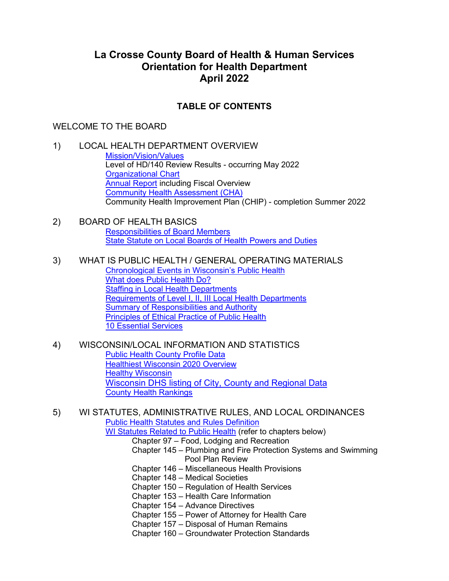## **La Crosse County Board of Health & Human Services Orientation for Health Department April 2022**

## **TABLE OF CONTENTS**

## WELCOME TO THE BOARD

- 1) LOCAL HEALTH DEPARTMENT OVERVIEW [Mission/Vision/Values](https://lacrossecounty.org/docs/default-source/health/2021-2025mvv.pdf?sfvrsn=d65f9721_2) Level of HD/140 Review Results - occurring May 2022 [Organizational Chart](https://lacrossecounty.org/docs/default-source/health/healthorgchartprograms.pdf?sfvrsn=1c1a69ae_2) [Annual Report](https://lacrossecounty.org/docs/default-source/health/2021annualreport.pdf?sfvrsn=7c67610_2) including Fiscal Overview [Community Health Assessment \(CHA\)](https://lacrossecounty.org/docs/default-source/health/2021communityhealthassessment.pdf?sfvrsn=4633055a_2) Community Health Improvement Plan (CHIP) - completion Summer 2022
- 2) BOARD OF HEALTH BASICS [Responsibilities of Board Members](https://lacrossecounty.org/docs/default-source/health/responsibilitiesboardmembers.pdf?sfvrsn=4e65529f_2) [State Statute on Local Boards of Health Powers and Duties](https://docs.legis.wisconsin.gov/statutes/statutes/251/04)
- 3) WHAT IS PUBLIC HEALTH / GENERAL OPERATING MATERIALS [Chronological Events in Wisconsin's Public Health](https://lacrossecounty.org/docs/default-source/health/chronologicaleventswipublichealth.pdf?sfvrsn=b4f122e5_2) [What does Public Health Do?](https://www.dhs.wisconsin.gov/lh-depts/what-public-health-does.htm) [Staffing in Local Health Departments](https://www.dhs.wisconsin.gov/lh-depts/whoworksinph.docx) [Requirements of Level I, II, III Local Health Departments](https://www.dhs.wisconsin.gov/lh-depts/requirement-updates.htm) [Summary of Responsibilities and Authority](https://www.dhs.wisconsin.gov/lh-depts/bohshallvsmay.docx) [Principles of Ethical Practice of Public Health](https://apha.org/-/media/Files/PDF/membergroups/Ethics/ethics_brochure.ashx) [10 Essential Services](https://www.cdc.gov/stltpublichealth/publichealthservices/essentialhealthservices.html)
- 4) WISCONSIN/LOCAL INFORMATION AND STATISTICS [Public Health County Profile Data](http://dhs.wisconsin.gov/localdata/pubhlthprofiles.htm)  [Healthiest Wisconsin 2020 Overview](https://www.dhs.wisconsin.gov/publications/p00187-1.pdf) [Healthy Wisconsin](https://healthy.wisconsin.gov/) [Wisconsin DHS listing of City, County and Regional Data](https://www.dhs.wisconsin.gov/stats/local-data.htm) [County Health Rankings](https://www.countyhealthrankings.org/app/wisconsin/2022/overview)

5) WI STATUTES, ADMINISTRATIVE RULES, AND LOCAL ORDINANCES [Public Health Statutes and Rules Definition](https://www.dhs.wisconsin.gov/lh-depts/ph-statutes-rules.docx) WI Statutes [Related to Public Health](https://docs.legis.wisconsin.gov/Statutes/Statutes) (refer to chapters below) Chapter 97 – Food, Lodging and Recreation Chapter 145 – Plumbing and Fire Protection Systems and Swimming Pool Plan Review Chapter 146 – Miscellaneous Health Provisions Chapter 148 – Medical Societies Chapter 150 – Regulation of Health Services Chapter 153 – Health Care Information Chapter 154 – Advance Directives Chapter 155 – Power of Attorney for Health Care Chapter 157 – Disposal of Human Remains

Chapter 160 – Groundwater Protection Standards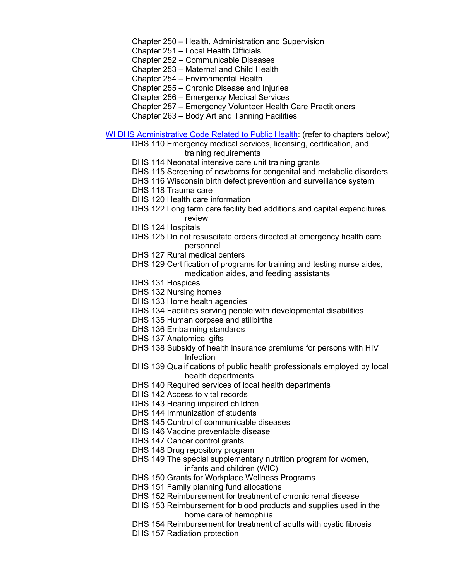Chapter 250 – Health, Administration and Supervision

- Chapter 251 Local Health Officials
- Chapter 252 Communicable Diseases
- Chapter 253 Maternal and Child Health
- Chapter 254 Environmental Health
- Chapter 255 Chronic Disease and Injuries
- Chapter 256 Emergency Medical Services
- Chapter 257 Emergency Volunteer Health Care Practitioners
- Chapter 263 Body Art and Tanning Facilities

[WI DHS Administrative Code Related to](https://docs.legis.wisconsin.gov/code/admin_code/dhs) Public Health: (refer to chapters below)

- DHS 110 Emergency medical services, licensing, certification, and training requirements
- DHS 114 Neonatal intensive care unit training grants
- DHS 115 Screening of newborns for congenital and metabolic disorders
- DHS 116 Wisconsin birth defect prevention and surveillance system
- DHS 118 Trauma care
- DHS 120 Health care information
- DHS 122 Long term care facility bed additions and capital expenditures review
- DHS 124 Hospitals
- DHS 125 Do not resuscitate orders directed at emergency health care personnel
- DHS 127 Rural medical centers
- DHS 129 Certification of programs for training and testing nurse aides, medication aides, and feeding assistants
- DHS 131 Hospices
- DHS 132 Nursing homes
- DHS 133 Home health agencies
- DHS 134 Facilities serving people with developmental disabilities
- DHS 135 Human corpses and stillbirths
- DHS 136 Embalming standards
- DHS 137 Anatomical gifts
- DHS 138 Subsidy of health insurance premiums for persons with HIV Infection
- DHS 139 Qualifications of public health professionals employed by local health departments
- DHS 140 Required services of local health departments
- DHS 142 Access to vital records
- DHS 143 Hearing impaired children
- DHS 144 Immunization of students
- DHS 145 Control of communicable diseases
- DHS 146 Vaccine preventable disease
- DHS 147 Cancer control grants
- DHS 148 Drug repository program
- DHS 149 The special supplementary nutrition program for women, infants and children (WIC)
- DHS 150 Grants for Workplace Wellness Programs
- DHS 151 Family planning fund allocations
- DHS 152 Reimbursement for treatment of chronic renal disease
- DHS 153 Reimbursement for blood products and supplies used in the home care of hemophilia
- DHS 154 Reimbursement for treatment of adults with cystic fibrosis
- DHS 157 Radiation protection